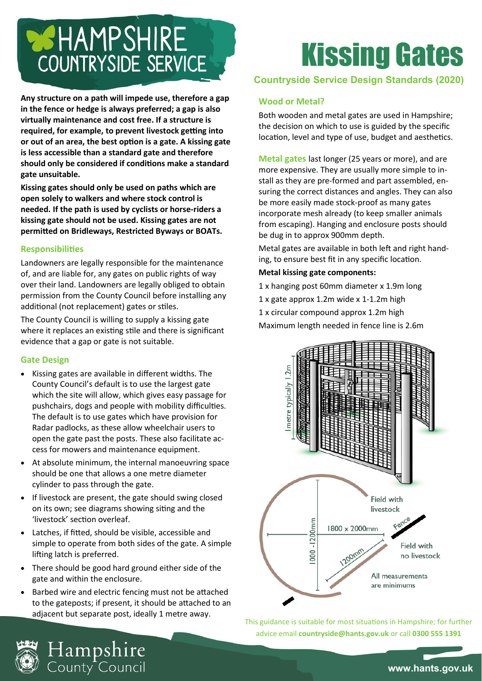# **WHAMPSHIRE** COUNTRYSIDE SERVICE

**Any structure on a path will impede use, therefore a gap in the fence or hedge is always preferred; a gap is also virtually maintenance and cost free. If a structure is required, for example, to prevent livestock getting into or out of an area, the best option is a gate. A kissing gate is less accessible than a standard gate and therefore should only be considered if conditions make a standard gate unsuitable.** 

**Kissing gates should only be used on paths which are open solely to walkers and where stock control is needed. If the path is used by cyclists or horse-riders a kissing gate should not be used. Kissing gates are not permitted on Bridleways, Restricted Byways or BOATs.**

# **Responsibilities**

Landowners are legally responsible for the maintenance of, and are liable for, any gates on public rights of way over their land. Landowners are legally obliged to obtain permission from the County Council before installing any additional (not replacement) gates or stiles.

The County Council is willing to supply a kissing gate where it replaces an existing stile and there is significant evidence that a gap or gate is not suitable.

# **Gate Design**

- Kissing gates are available in different widths. The County Council's default is to use the largest gate which the site will allow, which gives easy passage for pushchairs, dogs and people with mobility difficulties. The default is to use gates which have provision for Radar padlocks, as these allow wheelchair users to open the gate past the posts. These also facilitate access for mowers and maintenance equipment.
- At absolute minimum, the internal manoeuvring space should be one that allows a one metre diameter cylinder to pass through the gate.
- If livestock are present, the gate should swing closed on its own; see diagrams showing siting and the 'livestock' section overleaf.
- Latches, if fitted, should be visible, accessible and simple to operate from both sides of the gate. A simple lifting latch is preferred.
- There should be good hard ground either side of the gate and within the enclosure.
- Barbed wire and electric fencing must not be attached to the gateposts; if present, it should be attached to an adjacent but separate post, ideally 1 metre away.

Hampshire<br><sub>County</sub> Council

# Kissing Gates

# **Countryside Service Design Standards (2020)**

# **Wood or Metal?**

Both wooden and metal gates are used in Hampshire; the decision on which to use is guided by the specific location, level and type of use, budget and aesthetics.

**Metal gates** last longer (25 years or more), and are more expensive. They are usually more simple to install as they are pre-formed and part assembled, ensuring the correct distances and angles. They can also be more easily made stock-proof as many gates incorporate mesh already (to keep smaller animals from escaping). Hanging and enclosure posts should be dug in to approx 900mm depth.

Metal gates are available in both left and right handing, to ensure best fit in any specific location.

- **Metal kissing gate components:**
- 1 x hanging post 60mm diameter x 1.9m long
- 1 x gate approx 1.2m wide x 1-1.2m high
- 1 x circular compound approx 1.2m high
- Maximum length needed in fence line is 2.6m



This guidance is suitable for most situations in Hampshire; for further advice email **countryside@hants.gov.uk** or call **0300 555 1391**

**www.hants.gov.uk**